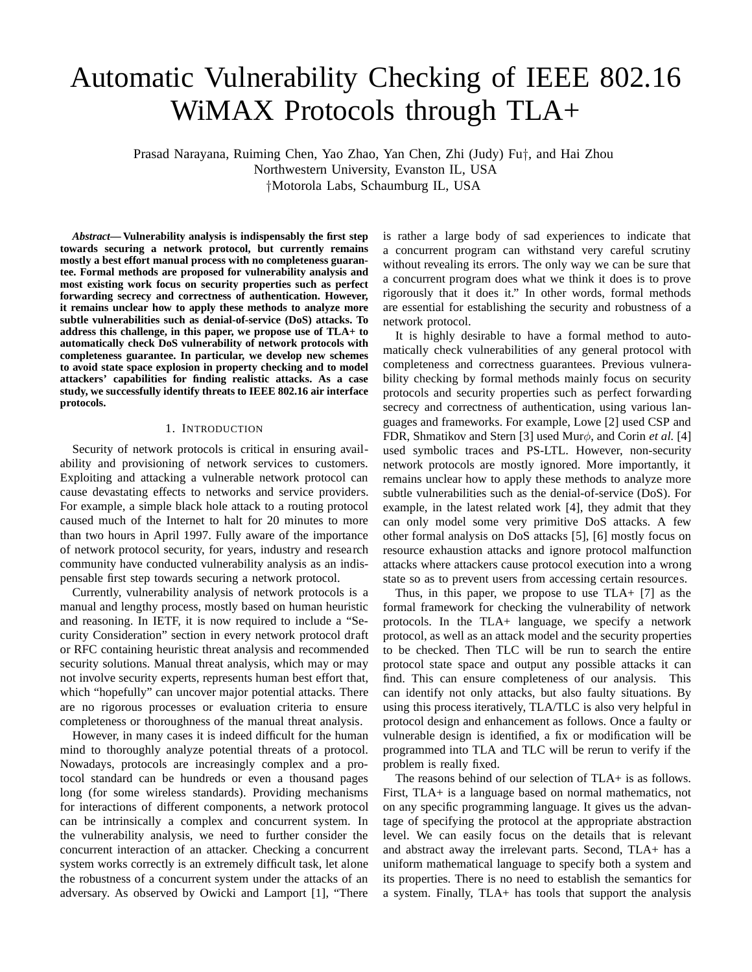# Automatic Vulnerability Checking of IEEE 802.16 WiMAX Protocols through TLA+

Prasad Narayana, Ruiming Chen, Yao Zhao, Yan Chen, Zhi (Judy) Fu†, and Hai Zhou Northwestern University, Evanston IL, USA †Motorola Labs, Schaumburg IL, USA

*Abstract***— Vulnerability analysis is indispensably the first step towards securing a network protocol, but currently remains mostly a best effort manual process with no completeness guarantee. Formal methods are proposed for vulnerability analysis and most existing work focus on security properties such as perfect forwarding secrecy and correctness of authentication. However, it remains unclear how to apply these methods to analyze more subtle vulnerabilities such as denial-of-service (DoS) attacks. To address this challenge, in this paper, we propose use of TLA+ to automatically check DoS vulnerability of network protocols with completeness guarantee. In particular, we develop new schemes to avoid state space explosion in property checking and to model attackers' capabilities for finding realistic attacks. As a case study, we successfully identify threats to IEEE 802.16 air interface protocols.**

#### 1. INTRODUCTION

Security of network protocols is critical in ensuring availability and provisioning of network services to customers. Exploiting and attacking a vulnerable network protocol can cause devastating effects to networks and service providers. For example, a simple black hole attack to a routing protocol caused much of the Internet to halt for 20 minutes to more than two hours in April 1997. Fully aware of the importance of network protocol security, for years, industry and research community have conducted vulnerability analysis as an indispensable first step towards securing a network protocol.

Currently, vulnerability analysis of network protocols is a manual and lengthy process, mostly based on human heuristic and reasoning. In IETF, it is now required to include a "Security Consideration" section in every network protocol draft or RFC containing heuristic threat analysis and recommended security solutions. Manual threat analysis, which may or may not involve security experts, represents human best effort that, which "hopefully" can uncover major potential attacks. There are no rigorous processes or evaluation criteria to ensure completeness or thoroughness of the manual threat analysis.

However, in many cases it is indeed difficult for the human mind to thoroughly analyze potential threats of a protocol. Nowadays, protocols are increasingly complex and a protocol standard can be hundreds or even a thousand pages long (for some wireless standards). Providing mechanisms for interactions of different components, a network protocol can be intrinsically a complex and concurrent system. In the vulnerability analysis, we need to further consider the concurrent interaction of an attacker. Checking a concurrent system works correctly is an extremely difficult task, let alone the robustness of a concurrent system under the attacks of an adversary. As observed by Owicki and Lamport [1], "There

is rather a large body of sad experiences to indicate that a concurrent program can withstand very careful scrutiny without revealing its errors. The only way we can be sure that a concurrent program does what we think it does is to prove rigorously that it does it." In other words, formal methods are essential for establishing the security and robustness of a network protocol.

It is highly desirable to have a formal method to automatically check vulnerabilities of any general protocol with completeness and correctness guarantees. Previous vulnerability checking by formal methods mainly focus on security protocols and security properties such as perfect forwarding secrecy and correctness of authentication, using various languages and frameworks. For example, Lowe [2] used CSP and FDR, Shmatikov and Stern [3] used Murφ, and Corin *et al.* [4] used symbolic traces and PS-LTL. However, non-security network protocols are mostly ignored. More importantly, it remains unclear how to apply these methods to analyze more subtle vulnerabilities such as the denial-of-service (DoS). For example, in the latest related work [4], they admit that they can only model some very primitive DoS attacks. A few other formal analysis on DoS attacks [5], [6] mostly focus on resource exhaustion attacks and ignore protocol malfunction attacks where attackers cause protocol execution into a wrong state so as to prevent users from accessing certain resources.

Thus, in this paper, we propose to use  $TLA + [7]$  as the formal framework for checking the vulnerability of network protocols. In the TLA+ language, we specify a network protocol, as well as an attack model and the security properties to be checked. Then TLC will be run to search the entire protocol state space and output any possible attacks it can find. This can ensure completeness of our analysis. This can identify not only attacks, but also faulty situations. By using this process iteratively, TLA/TLC is also very helpful in protocol design and enhancement as follows. Once a faulty or vulnerable design is identified, a fix or modification will be programmed into TLA and TLC will be rerun to verify if the problem is really fixed.

The reasons behind of our selection of TLA+ is as follows. First, TLA+ is a language based on normal mathematics, not on any specific programming language. It gives us the advantage of specifying the protocol at the appropriate abstraction level. We can easily focus on the details that is relevant and abstract away the irrelevant parts. Second, TLA+ has a uniform mathematical language to specify both a system and its properties. There is no need to establish the semantics for a system. Finally, TLA+ has tools that support the analysis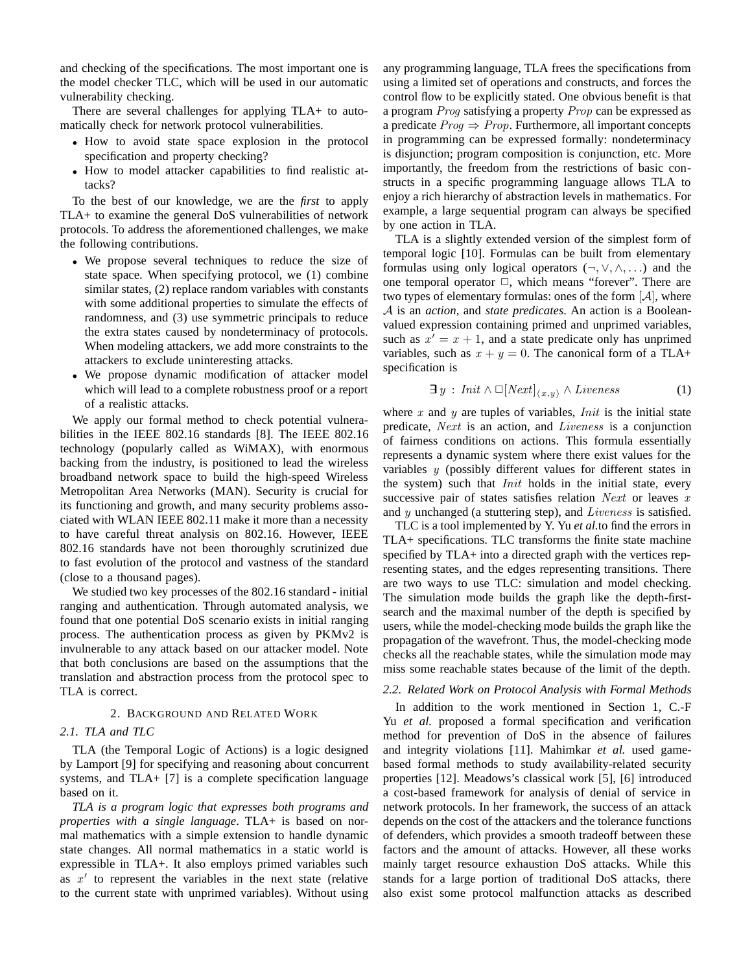and checking of the specifications. The most important one is the model checker TLC, which will be used in our automatic vulnerability checking.

There are several challenges for applying TLA+ to automatically check for network protocol vulnerabilities.

- How to avoid state space explosion in the protocol specification and property checking?
- How to model attacker capabilities to find realistic attacks?

To the best of our knowledge, we are the *first* to apply TLA+ to examine the general DoS vulnerabilities of network protocols. To address the aforementioned challenges, we make the following contributions.

- We propose several techniques to reduce the size of state space. When specifying protocol, we (1) combine similar states, (2) replace random variables with constants with some additional properties to simulate the effects of randomness, and (3) use symmetric principals to reduce the extra states caused by nondeterminacy of protocols. When modeling attackers, we add more constraints to the attackers to exclude uninteresting attacks.
- We propose dynamic modification of attacker model which will lead to a complete robustness proof or a report of a realistic attacks.

We apply our formal method to check potential vulnerabilities in the IEEE 802.16 standards [8]. The IEEE 802.16 technology (popularly called as WiMAX), with enormous backing from the industry, is positioned to lead the wireless broadband network space to build the high-speed Wireless Metropolitan Area Networks (MAN). Security is crucial for its functioning and growth, and many security problems associated with WLAN IEEE 802.11 make it more than a necessity to have careful threat analysis on 802.16. However, IEEE 802.16 standards have not been thoroughly scrutinized due to fast evolution of the protocol and vastness of the standard (close to a thousand pages).

We studied two key processes of the 802.16 standard - initial ranging and authentication. Through automated analysis, we found that one potential DoS scenario exists in initial ranging process. The authentication process as given by PKMv2 is invulnerable to any attack based on our attacker model. Note that both conclusions are based on the assumptions that the translation and abstraction process from the protocol spec to TLA is correct.

#### 2. BACKGROUND AND RELATED WORK

## *2.1. TLA and TLC*

TLA (the Temporal Logic of Actions) is a logic designed by Lamport [9] for specifying and reasoning about concurrent systems, and TLA+ [7] is a complete specification language based on it.

*TLA is a program logic that expresses both programs and properties with a single language*. TLA+ is based on normal mathematics with a simple extension to handle dynamic state changes. All normal mathematics in a static world is expressible in TLA+. It also employs primed variables such as  $x'$  to represent the variables in the next state (relative to the current state with unprimed variables). Without using

any programming language, TLA frees the specifications from using a limited set of operations and constructs, and forces the control flow to be explicitly stated. One obvious benefit is that a program Prog satisfying a property Prop can be expressed as a predicate  $Prog \Rightarrow Prop.$  Furthermore, all important concepts in programming can be expressed formally: nondeterminacy is disjunction; program composition is conjunction, etc. More importantly, the freedom from the restrictions of basic constructs in a specific programming language allows TLA to enjoy a rich hierarchy of abstraction levels in mathematics. For example, a large sequential program can always be specified by one action in TLA.

TLA is a slightly extended version of the simplest form of temporal logic [10]. Formulas can be built from elementary formulas using only logical operators  $(\neg, \lor, \land, \ldots)$  and the one temporal operator  $\Box$ , which means "forever". There are two types of elementary formulas: ones of the form  $[\mathcal{A}]$ , where A is an *action*, and *state predicates*. An action is a Booleanvalued expression containing primed and unprimed variables, such as  $x' = x + 1$ , and a state predicate only has unprimed variables, such as  $x + y = 0$ . The canonical form of a TLA+ specification is

$$
\exists y : \textit{Init} \land \Box[\textit{Next}]_{\langle x, y \rangle} \land \textit{Liveness} \tag{1}
$$

where  $x$  and  $y$  are tuples of variables, *Init* is the initial state predicate, Next is an action, and Liveness is a conjunction of fairness conditions on actions. This formula essentially represents a dynamic system where there exist values for the variables y (possibly different values for different states in the system) such that  $Init$  holds in the initial state, every successive pair of states satisfies relation Next or leaves  $x$ and  $y$  unchanged (a stuttering step), and  $Liveness$  is satisfied.

TLC is a tool implemented by Y. Yu *et al.*to find the errors in TLA+ specifications. TLC transforms the finite state machine specified by TLA+ into a directed graph with the vertices representing states, and the edges representing transitions. There are two ways to use TLC: simulation and model checking. The simulation mode builds the graph like the depth-firstsearch and the maximal number of the depth is specified by users, while the model-checking mode builds the graph like the propagation of the wavefront. Thus, the model-checking mode checks all the reachable states, while the simulation mode may miss some reachable states because of the limit of the depth.

#### *2.2. Related Work on Protocol Analysis with Formal Methods*

In addition to the work mentioned in Section 1, C.-F Yu *et al.* proposed a formal specification and verification method for prevention of DoS in the absence of failures and integrity violations [11]. Mahimkar *et al.* used gamebased formal methods to study availability-related security properties [12]. Meadows's classical work [5], [6] introduced a cost-based framework for analysis of denial of service in network protocols. In her framework, the success of an attack depends on the cost of the attackers and the tolerance functions of defenders, which provides a smooth tradeoff between these factors and the amount of attacks. However, all these works mainly target resource exhaustion DoS attacks. While this stands for a large portion of traditional DoS attacks, there also exist some protocol malfunction attacks as described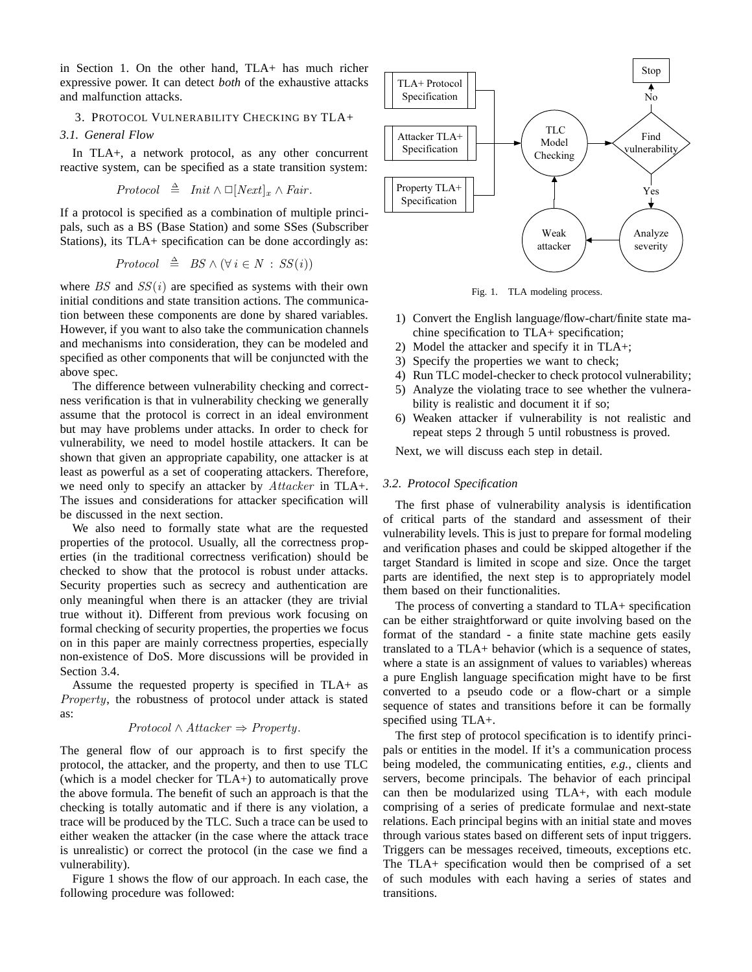in Section 1. On the other hand, TLA+ has much richer expressive power. It can detect *both* of the exhaustive attacks and malfunction attacks.

## 3. PROTOCOL VULNERABILITY CHECKING BY TLA+

### *3.1. General Flow*

In TLA+, a network protocol, as any other concurrent reactive system, can be specified as a state transition system:

$$
Protocol \triangleq Init \wedge \Box[Next]_x \wedge Fair.
$$

If a protocol is specified as a combination of multiple principals, such as a BS (Base Station) and some SSes (Subscriber Stations), its TLA+ specification can be done accordingly as:

$$
Protocol \triangleq BS \wedge (\forall i \in N : SS(i))
$$

where  $BS$  and  $SS(i)$  are specified as systems with their own initial conditions and state transition actions. The communication between these components are done by shared variables. However, if you want to also take the communication channels and mechanisms into consideration, they can be modeled and specified as other components that will be conjuncted with the above spec.

The difference between vulnerability checking and correctness verification is that in vulnerability checking we generally assume that the protocol is correct in an ideal environment but may have problems under attacks. In order to check for vulnerability, we need to model hostile attackers. It can be shown that given an appropriate capability, one attacker is at least as powerful as a set of cooperating attackers. Therefore, we need only to specify an attacker by Attacker in TLA+. The issues and considerations for attacker specification will be discussed in the next section.

We also need to formally state what are the requested properties of the protocol. Usually, all the correctness properties (in the traditional correctness verification) should be checked to show that the protocol is robust under attacks. Security properties such as secrecy and authentication are only meaningful when there is an attacker (they are trivial true without it). Different from previous work focusing on formal checking of security properties, the properties we focus on in this paper are mainly correctness properties, especially non-existence of DoS. More discussions will be provided in Section 3.4.

Assume the requested property is specified in TLA+ as Property, the robustness of protocol under attack is stated as:

#### $Protocol \wedge Attacker \Rightarrow Property.$

The general flow of our approach is to first specify the protocol, the attacker, and the property, and then to use TLC (which is a model checker for TLA+) to automatically prove the above formula. The benefit of such an approach is that the checking is totally automatic and if there is any violation, a trace will be produced by the TLC. Such a trace can be used to either weaken the attacker (in the case where the attack trace is unrealistic) or correct the protocol (in the case we find a vulnerability).

Figure 1 shows the flow of our approach. In each case, the following procedure was followed:



Fig. 1. TLA modeling process.

- 1) Convert the English language/flow-chart/finite state machine specification to TLA+ specification;
- 2) Model the attacker and specify it in TLA+;
- 3) Specify the properties we want to check;
- 4) Run TLC model-checker to check protocol vulnerability;
- 5) Analyze the violating trace to see whether the vulnerability is realistic and document it if so;
- 6) Weaken attacker if vulnerability is not realistic and repeat steps 2 through 5 until robustness is proved.

Next, we will discuss each step in detail.

#### *3.2. Protocol Specification*

The first phase of vulnerability analysis is identification of critical parts of the standard and assessment of their vulnerability levels. This is just to prepare for formal modeling and verification phases and could be skipped altogether if the target Standard is limited in scope and size. Once the target parts are identified, the next step is to appropriately model them based on their functionalities.

The process of converting a standard to TLA+ specification can be either straightforward or quite involving based on the format of the standard - a finite state machine gets easily translated to a TLA+ behavior (which is a sequence of states, where a state is an assignment of values to variables) whereas a pure English language specification might have to be first converted to a pseudo code or a flow-chart or a simple sequence of states and transitions before it can be formally specified using TLA+.

The first step of protocol specification is to identify principals or entities in the model. If it's a communication process being modeled, the communicating entities, *e.g.*, clients and servers, become principals. The behavior of each principal can then be modularized using TLA+, with each module comprising of a series of predicate formulae and next-state relations. Each principal begins with an initial state and moves through various states based on different sets of input triggers. Triggers can be messages received, timeouts, exceptions etc. The TLA+ specification would then be comprised of a set of such modules with each having a series of states and transitions.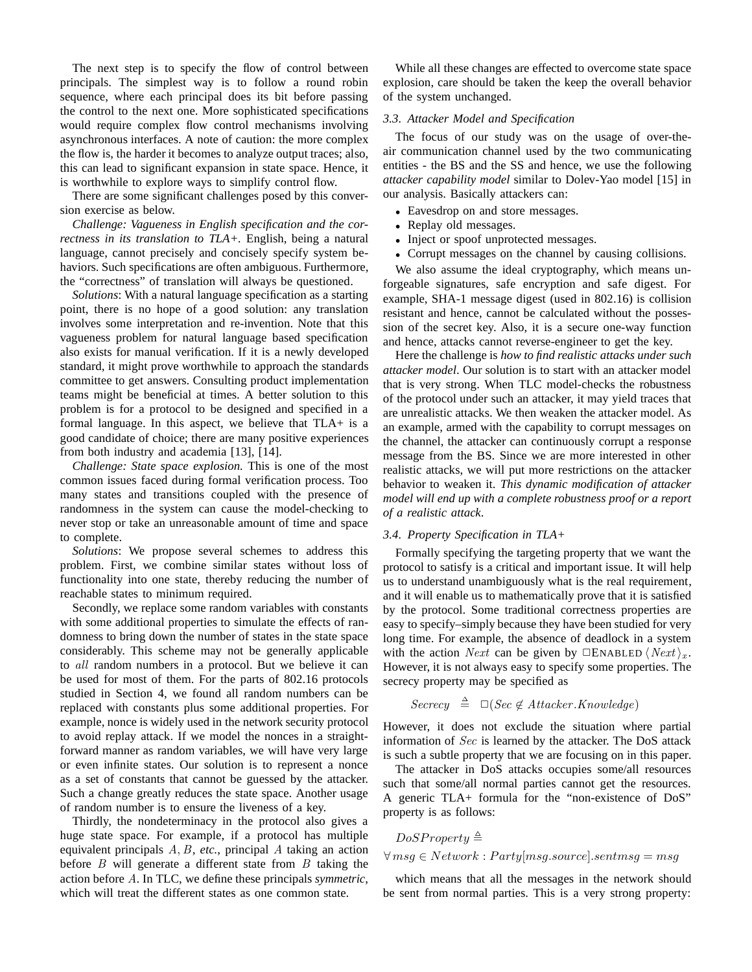The next step is to specify the flow of control between principals. The simplest way is to follow a round robin sequence, where each principal does its bit before passing the control to the next one. More sophisticated specifications would require complex flow control mechanisms involving asynchronous interfaces. A note of caution: the more complex the flow is, the harder it becomes to analyze output traces; also, this can lead to significant expansion in state space. Hence, it is worthwhile to explore ways to simplify control flow.

There are some significant challenges posed by this conversion exercise as below.

*Challenge: Vagueness in English specification and the correctness in its translation to TLA+.* English, being a natural language, cannot precisely and concisely specify system behaviors. Such specifications are often ambiguous. Furthermore, the "correctness" of translation will always be questioned.

*Solutions*: With a natural language specification as a starting point, there is no hope of a good solution: any translation involves some interpretation and re-invention. Note that this vagueness problem for natural language based specification also exists for manual verification. If it is a newly developed standard, it might prove worthwhile to approach the standards committee to get answers. Consulting product implementation teams might be beneficial at times. A better solution to this problem is for a protocol to be designed and specified in a formal language. In this aspect, we believe that TLA+ is a good candidate of choice; there are many positive experiences from both industry and academia [13], [14].

*Challenge: State space explosion.* This is one of the most common issues faced during formal verification process. Too many states and transitions coupled with the presence of randomness in the system can cause the model-checking to never stop or take an unreasonable amount of time and space to complete.

*Solutions*: We propose several schemes to address this problem. First, we combine similar states without loss of functionality into one state, thereby reducing the number of reachable states to minimum required.

Secondly, we replace some random variables with constants with some additional properties to simulate the effects of randomness to bring down the number of states in the state space considerably. This scheme may not be generally applicable to all random numbers in a protocol. But we believe it can be used for most of them. For the parts of 802.16 protocols studied in Section 4, we found all random numbers can be replaced with constants plus some additional properties. For example, nonce is widely used in the network security protocol to avoid replay attack. If we model the nonces in a straightforward manner as random variables, we will have very large or even infinite states. Our solution is to represent a nonce as a set of constants that cannot be guessed by the attacker. Such a change greatly reduces the state space. Another usage of random number is to ensure the liveness of a key.

Thirdly, the nondeterminacy in the protocol also gives a huge state space. For example, if a protocol has multiple equivalent principals A, B, *etc.*, principal A taking an action before  $B$  will generate a different state from  $B$  taking the action before A. In TLC, we define these principals *symmetric*, which will treat the different states as one common state.

While all these changes are effected to overcome state space explosion, care should be taken the keep the overall behavior of the system unchanged.

## *3.3. Attacker Model and Specification*

The focus of our study was on the usage of over-theair communication channel used by the two communicating entities - the BS and the SS and hence, we use the following *attacker capability model* similar to Dolev-Yao model [15] in our analysis. Basically attackers can:

- Eavesdrop on and store messages.
- Replay old messages.
- Inject or spoof unprotected messages.
- Corrupt messages on the channel by causing collisions.

We also assume the ideal cryptography, which means unforgeable signatures, safe encryption and safe digest. For example, SHA-1 message digest (used in 802.16) is collision resistant and hence, cannot be calculated without the possession of the secret key. Also, it is a secure one-way function and hence, attacks cannot reverse-engineer to get the key.

Here the challenge is *how to find realistic attacks under such attacker model*. Our solution is to start with an attacker model that is very strong. When TLC model-checks the robustness of the protocol under such an attacker, it may yield traces that are unrealistic attacks. We then weaken the attacker model. As an example, armed with the capability to corrupt messages on the channel, the attacker can continuously corrupt a response message from the BS. Since we are more interested in other realistic attacks, we will put more restrictions on the attacker behavior to weaken it. *This dynamic modification of attacker model will end up with a complete robustness proof or a report of a realistic attack*.

## *3.4. Property Specification in TLA+*

Formally specifying the targeting property that we want the protocol to satisfy is a critical and important issue. It will help us to understand unambiguously what is the real requirement, and it will enable us to mathematically prove that it is satisfied by the protocol. Some traditional correctness properties are easy to specify–simply because they have been studied for very long time. For example, the absence of deadlock in a system with the action *Next* can be given by  $\Box$ ENABLED  $\langle Next \rangle_x$ . However, it is not always easy to specify some properties. The secrecy property may be specified as

$$
Secrecy \triangleq \Box (Sec \notin Attacker. Knowledge)
$$

However, it does not exclude the situation where partial information of Sec is learned by the attacker. The DoS attack is such a subtle property that we are focusing on in this paper.

The attacker in DoS attacks occupies some/all resources such that some/all normal parties cannot get the resources. A generic TLA+ formula for the "non-existence of DoS" property is as follows:

# $DoSProperty \triangleq$

# $\forall\, msg \in Network: Party[msg.source].sentmsg = msg$

which means that all the messages in the network should be sent from normal parties. This is a very strong property: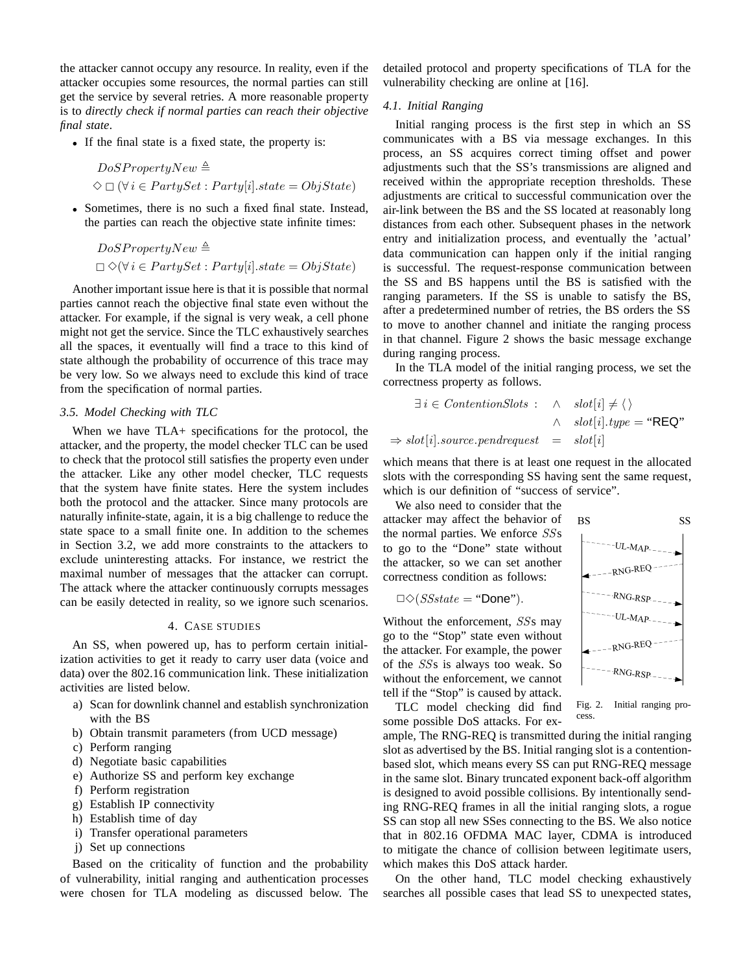the attacker cannot occupy any resource. In reality, even if the attacker occupies some resources, the normal parties can still get the service by several retries. A more reasonable property is to *directly check if normal parties can reach their objective final state*.

• If the final state is a fixed state, the property is:

$$
DoSPropertyNew \triangleq
$$
  
 $\diamond \square (\forall i \in PartySet : Party[i].state = ObjState)$ 

• Sometimes, there is no such a fixed final state. Instead, the parties can reach the objective state infinite times:

$$
DoSPropertyNew \triangleq
$$
  
 $\square \lozenge(\forall i \in PartySet : Party[i].state = ObjState)$ 

Another important issue here is that it is possible that normal parties cannot reach the objective final state even without the attacker. For example, if the signal is very weak, a cell phone might not get the service. Since the TLC exhaustively searches all the spaces, it eventually will find a trace to this kind of state although the probability of occurrence of this trace may be very low. So we always need to exclude this kind of trace from the specification of normal parties.

### *3.5. Model Checking with TLC*

When we have TLA+ specifications for the protocol, the attacker, and the property, the model checker TLC can be used to check that the protocol still satisfies the property even under the attacker. Like any other model checker, TLC requests that the system have finite states. Here the system includes both the protocol and the attacker. Since many protocols are naturally infinite-state, again, it is a big challenge to reduce the state space to a small finite one. In addition to the schemes in Section 3.2, we add more constraints to the attackers to exclude uninteresting attacks. For instance, we restrict the maximal number of messages that the attacker can corrupt. The attack where the attacker continuously corrupts messages can be easily detected in reality, so we ignore such scenarios.

#### 4. CASE STUDIES

An SS, when powered up, has to perform certain initialization activities to get it ready to carry user data (voice and data) over the 802.16 communication link. These initialization activities are listed below.

- a) Scan for downlink channel and establish synchronization with the BS
- b) Obtain transmit parameters (from UCD message)
- c) Perform ranging
- d) Negotiate basic capabilities
- e) Authorize SS and perform key exchange
- f) Perform registration
- g) Establish IP connectivity
- h) Establish time of day
- i) Transfer operational parameters
- j) Set up connections

Based on the criticality of function and the probability of vulnerability, initial ranging and authentication processes were chosen for TLA modeling as discussed below. The

detailed protocol and property specifications of TLA for the vulnerability checking are online at [16].

## *4.1. Initial Ranging*

Initial ranging process is the first step in which an SS communicates with a BS via message exchanges. In this process, an SS acquires correct timing offset and power adjustments such that the SS's transmissions are aligned and received within the appropriate reception thresholds. These adjustments are critical to successful communication over the air-link between the BS and the SS located at reasonably long distances from each other. Subsequent phases in the network entry and initialization process, and eventually the 'actual' data communication can happen only if the initial ranging is successful. The request-response communication between the SS and BS happens until the BS is satisfied with the ranging parameters. If the SS is unable to satisfy the BS, after a predetermined number of retries, the BS orders the SS to move to another channel and initiate the ranging process in that channel. Figure 2 shows the basic message exchange during ranging process.

In the TLA model of the initial ranging process, we set the correctness property as follows.

$$
\exists i \in \text{ContentionS lots} : \wedge \quad \text{slot}[i] \neq \langle \rangle
$$
  

$$
\wedge \quad \text{slot}[i].type = \text{``REQ''}
$$
  

$$
\Rightarrow \text{slot}[i].source\_pendrequest = \quad \text{slot}[i]
$$

which means that there is at least one request in the allocated slots with the corresponding SS having sent the same request, which is our definition of "success of service".

We also need to consider that the attacker may affect the behavior of the normal parties. We enforce SSs to go to the "Done" state without the attacker, so we can set another correctness condition as follows:

$$
\Box \Diamond (SS state = "Done").
$$

Without the enforcement, SSs may go to the "Stop" state even without the attacker. For example, the power of the SSs is always too weak. So without the enforcement, we cannot tell if the "Stop" is caused by attack.

TLC model checking did find some possible DoS attacks. For ex-

ample, The RNG-REQ is transmitted during the initial ranging slot as advertised by the BS. Initial ranging slot is a contentionbased slot, which means every SS can put RNG-REQ message in the same slot. Binary truncated exponent back-off algorithm is designed to avoid possible collisions. By intentionally sending RNG-REQ frames in all the initial ranging slots, a rogue SS can stop all new SSes connecting to the BS. We also notice that in 802.16 OFDMA MAC layer, CDMA is introduced to mitigate the chance of collision between legitimate users, which makes this DoS attack harder.

On the other hand, TLC model checking exhaustively searches all possible cases that lead SS to unexpected states,